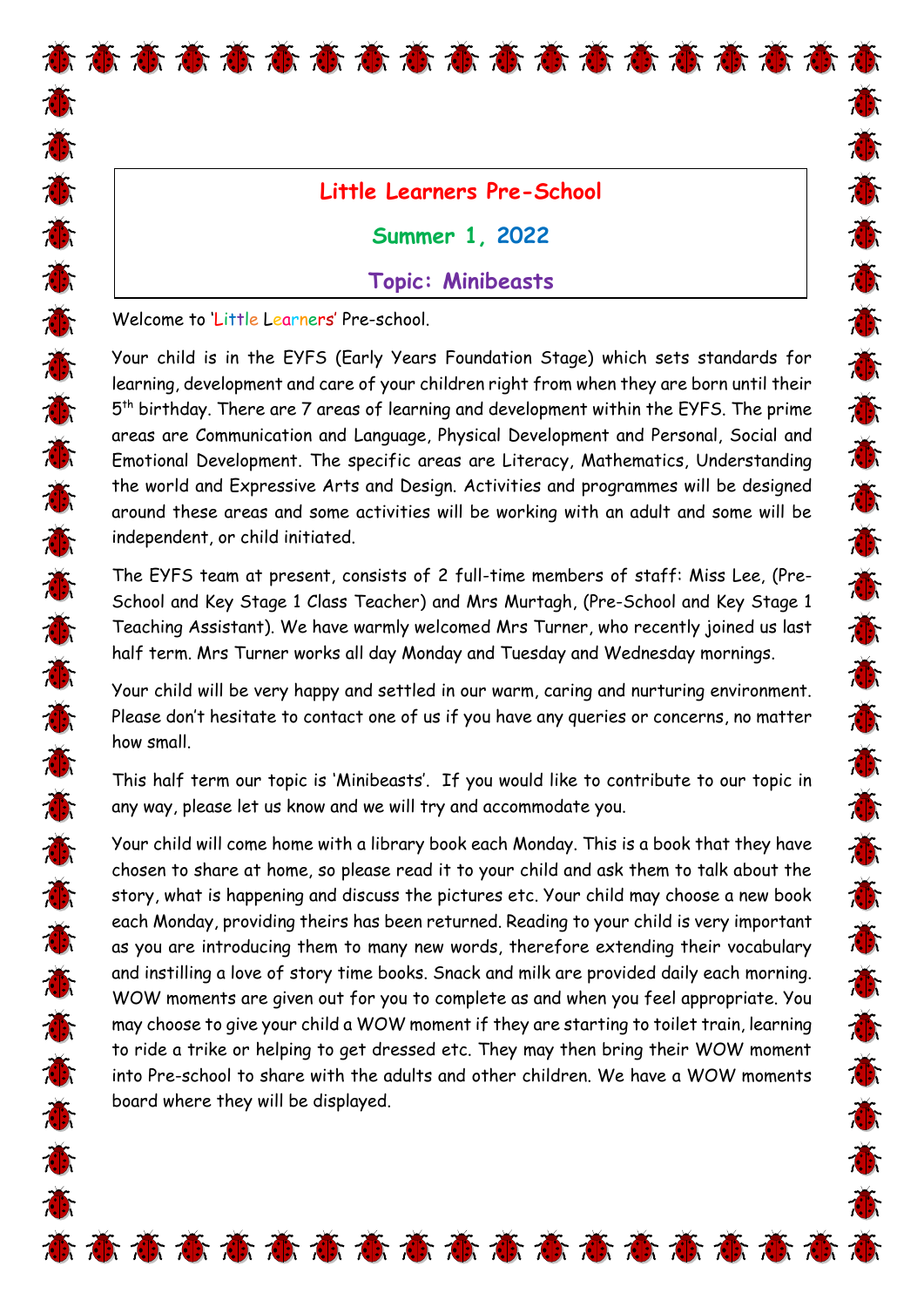## **Little Learners Pre-School**

T.

J.

苏苏苏苏苏苏苏苏苏苏苏苏苏苏苏苏苏苏苏苏

意意意意意意意意意意意意意意意意意意意

**Summer 1, 2022** 

# **Topic: Minibeasts**

Welcome to 'Little Learners' Pre-school.

苏苏苏苏苏苏苏苏苏苏苏苏苏苏苏苏苏苏苏苏苏苏

Your child is in the EYFS (Early Years Foundation Stage) which sets standards for learning, development and care of your children right from when they are born until their 5<sup>th</sup> birthday. There are 7 areas of learning and development within the EYFS. The prime areas are Communication and Language, Physical Development and Personal, Social and Emotional Development. The specific areas are Literacy, Mathematics, Understanding the world and Expressive Arts and Design. Activities and programmes will be designed around these areas and some activities will be working with an adult and some will be independent, or child initiated.

The EYFS team at present, consists of 2 full-time members of staff: Miss Lee, (Pre-School and Key Stage 1 Class Teacher) and Mrs Murtagh, (Pre-School and Key Stage 1 Teaching Assistant). We have warmly welcomed Mrs Turner, who recently joined us last half term. Mrs Turner works all day Monday and Tuesday and Wednesday mornings.

Your child will be very happy and settled in our warm, caring and nurturing environment. Please don't hesitate to contact one of us if you have any queries or concerns, no matter how small.

This half term our topic is 'Minibeasts'. If you would like to contribute to our topic in any way, please let us know and we will try and accommodate you.

Your child will come home with a library book each Monday. This is a book that they have chosen to share at home, so please read it to your child and ask them to talk about the story, what is happening and discuss the pictures etc. Your child may choose a new book each Monday, providing theirs has been returned. Reading to your child is very important as you are introducing them to many new words, therefore extending their vocabulary and instilling a love of story time books. Snack and milk are provided daily each morning. WOW moments are given out for you to complete as and when you feel appropriate. You may choose to give your child a WOW moment if they are starting to toilet train, learning to ride a trike or helping to get dressed etc. They may then bring their WOW moment into Pre-school to share with the adults and other children. We have a WOW moments board where they will be displayed.

高 高 高 高 高 高 高 高 高 高 高 高 高 高 高 高 高